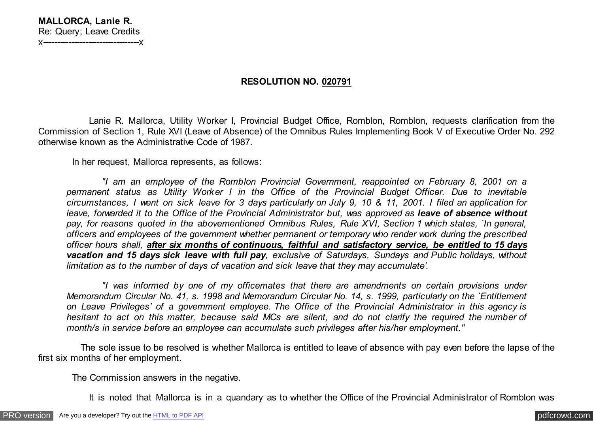## **RESOLUTION NO. 020791**

 Lanie R. Mallorca, Utility Worker I, Provincial Budget Office, Romblon, Romblon, requests clarification from the Commission of Section 1, Rule XVI (Leave of Absence) of the Omnibus Rules Implementing Book V of Executive Order No. 292 otherwise known as the Administrative Code of 1987.

In her request, Mallorca represents, as follows:

 *"I am an employee of the Romblon Provincial Government, reappointed on February 8, 2001 on a permanent status as Utility Worker I in the Office of the Provincial Budget Officer. Due to inevitable circumstances, I went on sick leave for 3 days particularly on July 9, 10 & 11, 2001. I filed an application for leave, forwarded it to the Office of the Provincial Administrator but, was approved as leave of absence without pay, for reasons quoted in the abovementioned Omnibus Rules, Rule XVI, Section 1 which states, `In general, officers and employees of the government whether permanent or temporary who render work during the prescribed officer hours shall, after six months of continuous, faithful and satisfactory service, be entitled to 15 days vacation and 15 days sick leave with full pay, exclusive of Saturdays, Sundays and Public holidays, without limitation as to the number of days of vacation and sick leave that they may accumulate'.*

 *"I was informed by one of my officemates that there are amendments on certain provisions under Memorandum Circular No. 41, s. 1998 and Memorandum Circular No. 14, s. 1999, particularly on the `Entitlement on Leave Privileges' of a government employee. The Office of the Provincial Administrator in this agency is hesitant to act on this matter, because said MCs are silent, and do not clarify the required the number of month/s in service before an employee can accumulate such privileges after his/her employment."*

 The sole issue to be resolved is whether Mallorca is entitled to leave of absence with pay even before the lapse of the first six months of her employment.

The Commission answers in the negative.

It is noted that Mallorca is in a quandary as to whether the Office of the Provincial Administrator of Romblon was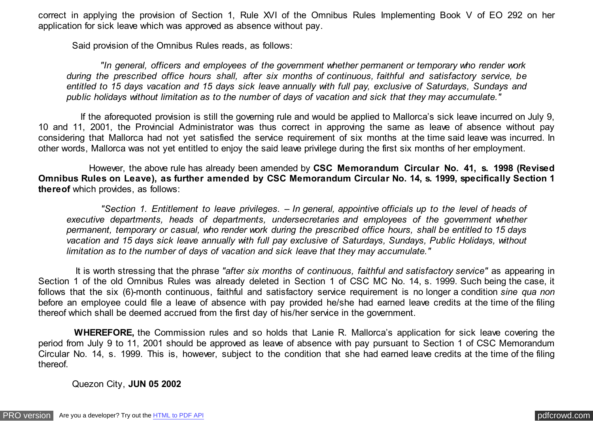correct in applying the provision of Section 1, Rule XVI of the Omnibus Rules Implementing Book V of EO 292 on her application for sick leave which was approved as absence without pay.

Said provision of the Omnibus Rules reads, as follows:

 *"In general, officers and employees of the government whether permanent or temporary who render work during the prescribed office hours shall, after six months of continuous, faithful and satisfactory service, be entitled to 15 days vacation and 15 days sick leave annually with full pay, exclusive of Saturdays, Sundays and public holidays without limitation as to the number of days of vacation and sick that they may accumulate."*

 If the aforequoted provision is still the governing rule and would be applied to Mallorca's sick leave incurred on July 9, 10 and 11, 2001, the Provincial Administrator was thus correct in approving the same as leave of absence without pay considering that Mallorca had not yet satisfied the service requirement of six months at the time said leave was incurred. In other words, Mallorca was not yet entitled to enjoy the said leave privilege during the first six months of her employment.

 However, the above rule has already been amended by **CSC Memorandum Circular No. 41, s. 1998 (Revised Omnibus Rules on Leave), as further amended by CSC Memorandum Circular No. 14, s. 1999, specifically Section 1 thereof** which provides, as follows:

 *"Section 1. Entitlement to leave privileges. – In general, appointive officials up to the level of heads of executive departments, heads of departments, undersecretaries and employees of the government whether permanent, temporary or casual, who render work during the prescribed office hours, shall be entitled to 15 days vacation and 15 days sick leave annually with full pay exclusive of Saturdays, Sundays, Public Holidays, without limitation as to the number of days of vacation and sick leave that they may accumulate."*

 It is worth stressing that the phrase *"after six months of continuous, faithful and satisfactory service"* as appearing in Section 1 of the old Omnibus Rules was already deleted in Section 1 of CSC MC No. 14, s. 1999. Such being the case, it follows that the six (6)-month continuous, faithful and satisfactory service requirement is no longer a condition *sine qua non* before an employee could file a leave of absence with pay provided he/she had earned leave credits at the time of the filing thereof which shall be deemed accrued from the first day of his/her service in the government.

 **WHEREFORE,** the Commission rules and so holds that Lanie R. Mallorca's application for sick leave covering the period from July 9 to 11, 2001 should be approved as leave of absence with pay pursuant to Section 1 of CSC Memorandum Circular No. 14, s. 1999. This is, however, subject to the condition that she had earned leave credits at the time of the filing thereof.

Quezon City, **JUN 05 2002**